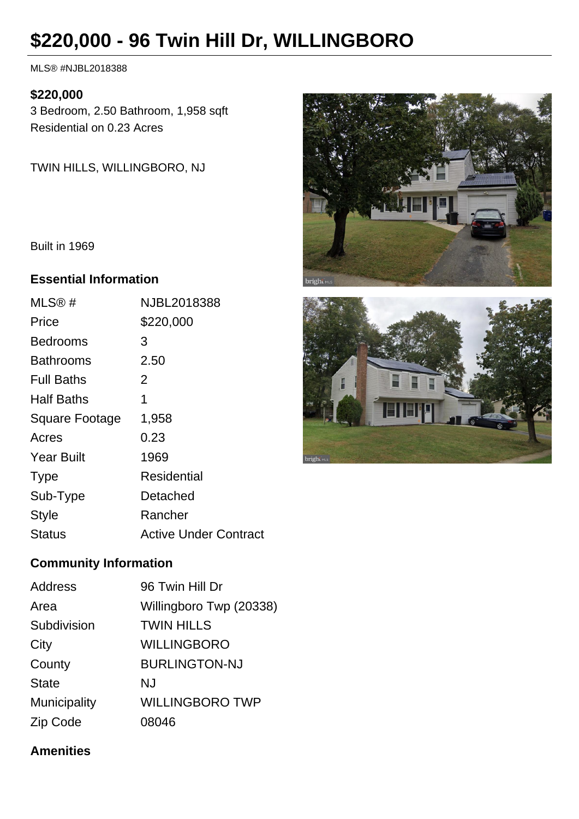# **\$220,000 - 96 Twin Hill Dr, WILLINGBORO**

MLS® #NJBL2018388

#### **\$220,000**

3 Bedroom, 2.50 Bathroom, 1,958 sqft Residential on 0.23 Acres

TWIN HILLS, WILLINGBORO, NJ

Built in 1969

#### **Essential Information**

| MLS@#             | NJBL2018388                  |
|-------------------|------------------------------|
| Price             | \$220,000                    |
| Bedrooms          | 3                            |
| Bathrooms         | 2.50                         |
| <b>Full Baths</b> | 2                            |
| Half Baths        | 1                            |
| Square Footage    | 1,958                        |
| Acres             | 0.23                         |
| <b>Year Built</b> | 1969                         |
| <b>Type</b>       | Residential                  |
| Sub-Type          | Detached                     |
| <b>Style</b>      | Rancher                      |
| Status            | <b>Active Under Contract</b> |

## **Community Information**

| <b>Address</b> | 96 Twin Hill Dr         |
|----------------|-------------------------|
| Area           | Willingboro Twp (20338) |
| Subdivision    | <b>TWIN HILLS</b>       |
| City           | <b>WILLINGBORO</b>      |
| County         | <b>BURLINGTON-NJ</b>    |
| <b>State</b>   | NJ                      |
| Municipality   | <b>WILLINGBORO TWP</b>  |
| Zip Code       | 08046                   |

### **Amenities**